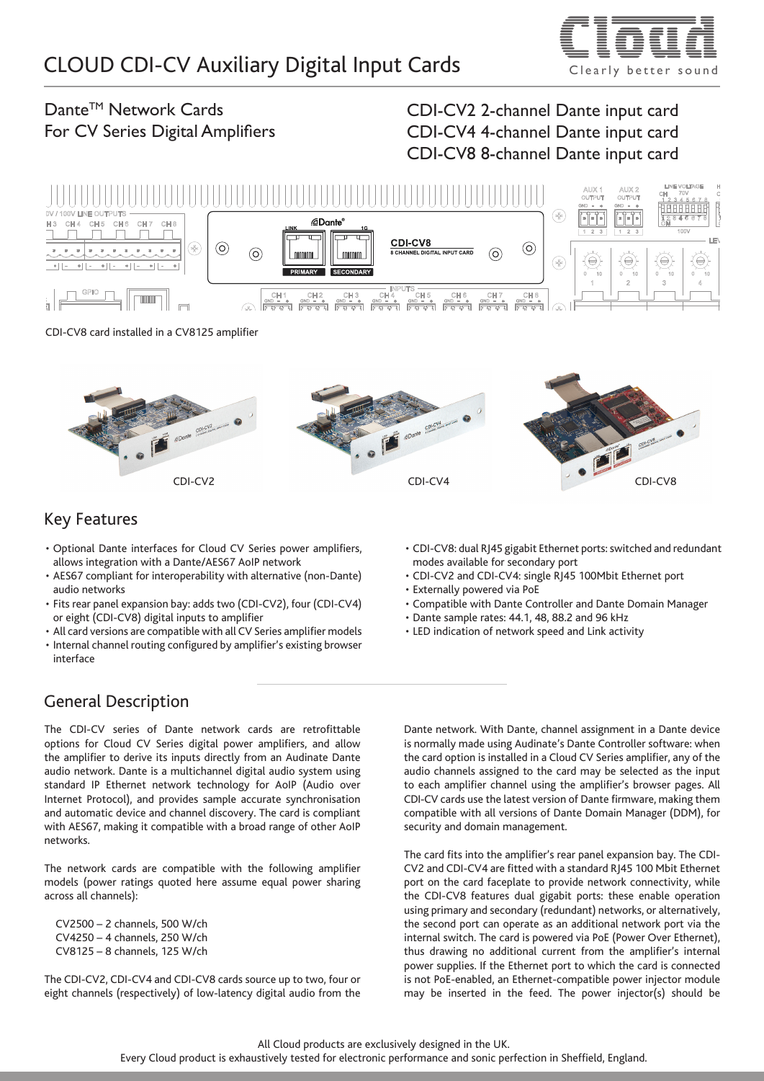

# Dante<sup>™</sup> Network Cards For CV Series Digital Amplifiers

## CDI-CV2 2-channel Dante input card CDI-CV4 4-channel Dante input card CDI-CV8 8-channel Dante input card



#### CDI-CV8 card installed in a CV8125 amplifier



### Key Features

- Optional Dante interfaces for Cloud CV Series power amplifiers, allows integration with a Dante/AES67 AoIP network
- AES67 compliant for interoperability with alternative (non-Dante) audio networks
- Fits rear panel expansion bay: adds two (CDI-CV2), four (CDI-CV4) or eight (CDI-CV8) digital inputs to amplifier
- All card versions are compatible with all CV Series amplifier models
- Internal channel routing configured by amplifier's existing browser interface
- CDI-CV8: dual RJ45 gigabit Ethernet ports: switched and redundant modes available for secondary port
- CDI-CV2 and CDI-CV4: single RJ45 100Mbit Ethernet port
- Externally powered via PoE
- Compatible with Dante Controller and Dante Domain Manager
- Dante sample rates: 44.1, 48, 88.2 and 96 kHz
- LED indication of network speed and Link activity

## General Description

The CDI-CV series of Dante network cards are retrofittable options for Cloud CV Series digital power amplifiers, and allow the amplifier to derive its inputs directly from an Audinate Dante audio network. Dante is a multichannel digital audio system using standard IP Ethernet network technology for AoIP (Audio over Internet Protocol), and provides sample accurate synchronisation and automatic device and channel discovery. The card is compliant with AES67, making it compatible with a broad range of other AoIP networks.

The network cards are compatible with the following amplifier models (power ratings quoted here assume equal power sharing across all channels):

 CV2500 – 2 channels, 500 W/ch CV4250 – 4 channels, 250 W/ch CV8125 – 8 channels, 125 W/ch

The CDI-CV2, CDI-CV4 and CDI-CV8 cards source up to two, four or eight channels (respectively) of low-latency digital audio from the

Dante network. With Dante, channel assignment in a Dante device is normally made using Audinate's Dante Controller software: when the card option is installed in a Cloud CV Series amplifier, any of the audio channels assigned to the card may be selected as the input to each amplifier channel using the amplifier's browser pages. All CDI-CV cards use the latest version of Dante firmware, making them compatible with all versions of Dante Domain Manager (DDM), for security and domain management.

The card fits into the amplifier's rear panel expansion bay. The CDI-CV2 and CDI-CV4 are fitted with a standard RJ45 100 Mbit Ethernet port on the card faceplate to provide network connectivity, while the CDI-CV8 features dual gigabit ports: these enable operation using primary and secondary (redundant) networks, or alternatively, the second port can operate as an additional network port via the internal switch. The card is powered via PoE (Power Over Ethernet), thus drawing no additional current from the amplifier's internal power supplies. If the Ethernet port to which the card is connected is not PoE-enabled, an Ethernet-compatible power injector module may be inserted in the feed. The power injector(s) should be